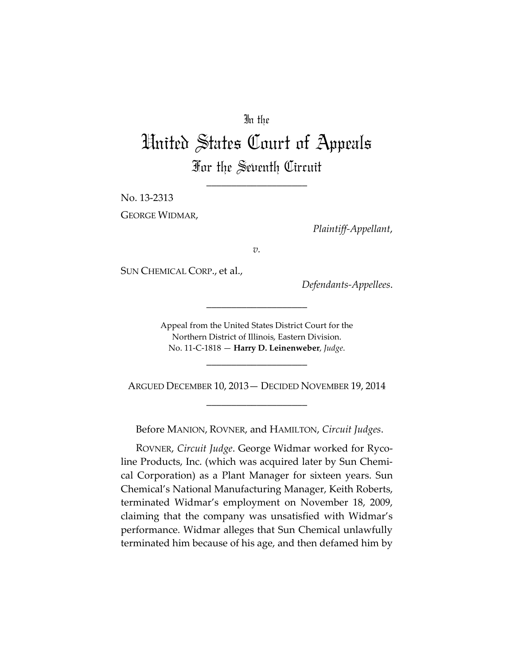# In the

# United States Court of Appeals For the Seventh Circuit

\_\_\_\_\_\_\_\_\_\_\_\_\_\_\_\_\_\_\_\_

No. 13-2313

GEORGE WIDMAR,

*Plaintiff-Appellant*,

*v.*

SUN CHEMICAL CORP., et al.,

*Defendants-Appellees*.

Appeal from the United States District Court for the Northern District of Illinois, Eastern Division. No. 11-C-1818 — **Harry D. Leinenweber**, *Judge*.

\_\_\_\_\_\_\_\_\_\_\_\_\_\_\_\_\_\_\_\_

\_\_\_\_\_\_\_\_\_\_\_\_\_\_\_\_\_\_\_\_

ARGUED DECEMBER 10, 2013— DECIDED NOVEMBER 19, 2014 \_\_\_\_\_\_\_\_\_\_\_\_\_\_\_\_\_\_\_\_

Before MANION, ROVNER, and HAMILTON, *Circuit Judges*.

ROVNER, *Circuit Judge*. George Widmar worked for Rycoline Products, Inc. (which was acquired later by Sun Chemical Corporation) as a Plant Manager for sixteen years. Sun Chemical's National Manufacturing Manager, Keith Roberts, terminated Widmar's employment on November 18, 2009, claiming that the company was unsatisfied with Widmar's performance. Widmar alleges that Sun Chemical unlawfully terminated him because of his age, and then defamed him by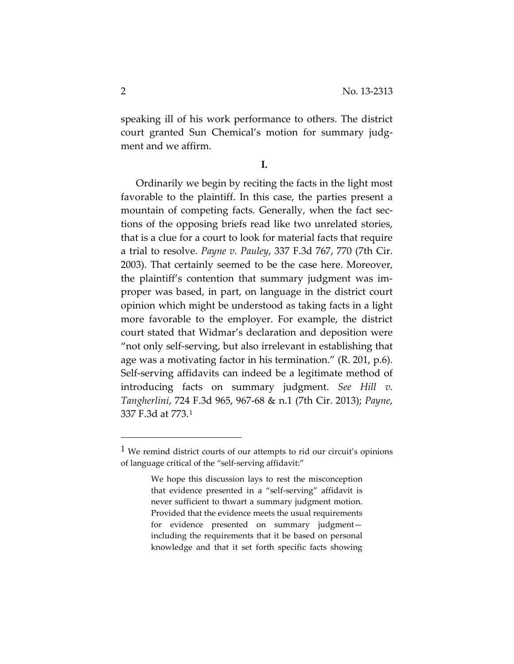speaking ill of his work performance to others. The district court granted Sun Chemical's motion for summary judgment and we affirm.

**I.**

Ordinarily we begin by reciting the facts in the light most favorable to the plaintiff. In this case, the parties present a mountain of competing facts. Generally, when the fact sections of the opposing briefs read like two unrelated stories, that is a clue for a court to look for material facts that require a trial to resolve. *Payne v. Pauley*, 337 F.3d 767, 770 (7th Cir. 2003). That certainly seemed to be the case here. Moreover, the plaintiff's contention that summary judgment was improper was based, in part, on language in the district court opinion which might be understood as taking facts in a light more favorable to the employer. For example, the district court stated that Widmar's declaration and deposition were "not only self-serving, but also irrelevant in establishing that age was a motivating factor in his termination." (R. 201, p.6). Self-serving affidavits can indeed be a legitimate method of introducing facts on summary judgment. *See Hill v. Tangherlini*, 724 F.3d 965, 967-68 & n.1 (7th Cir. 2013); *Payne*, 337 F.3d at 773.[1](#page-1-0)

 $\overline{a}$ 

<span id="page-1-0"></span><sup>&</sup>lt;sup>1</sup> We remind district courts of our attempts to rid our circuit's opinions of language critical of the "self-serving affidavit:"

We hope this discussion lays to rest the misconception that evidence presented in a "self-serving" affidavit is never sufficient to thwart a summary judgment motion. Provided that the evidence meets the usual requirements for evidence presented on summary judgment including the requirements that it be based on personal knowledge and that it set forth specific facts showing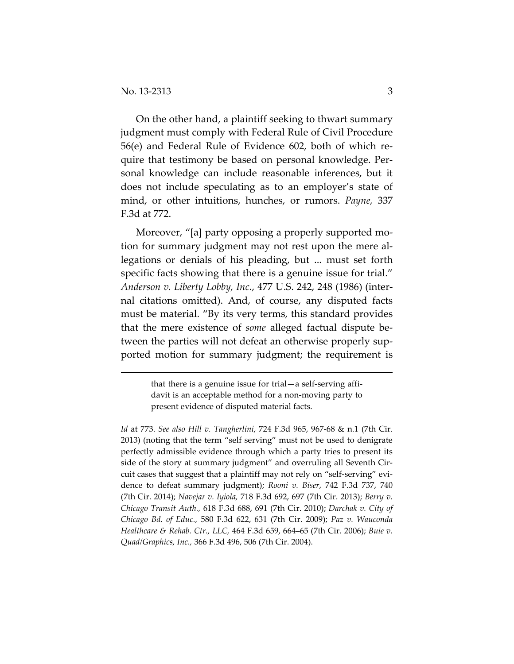$\overline{a}$ 

On the other hand, a plaintiff seeking to thwart summary judgment must comply with Federal Rule of Civil Procedure 56(e) and Federal Rule of Evidence 602, both of which require that testimony be based on personal knowledge. Personal knowledge can include reasonable inferences, but it does not include speculating as to an employer's state of mind, or other intuitions, hunches, or rumors. *Payne,* 337 F.3d at 772.

Moreover, "[a] party opposing a properly supported motion for summary judgment may not rest upon the mere allegations or denials of his pleading, but ... must set forth specific facts showing that there is a genuine issue for trial." *Anderson v. Liberty Lobby, Inc.*, 477 U.S. 242, 248 (1986) (internal citations omitted). And, of course, any disputed facts must be material. "By its very terms, this standard provides that the mere existence of *some* alleged factual dispute between the parties will not defeat an otherwise properly supported motion for summary judgment; the requirement is

> that there is a genuine issue for trial—a self-serving affidavit is an acceptable method for a non-moving party to present evidence of disputed material facts.

*Id* at 773. *See also Hill v. Tangherlini*, 724 F.3d 965, 967-68 & n.1 (7th Cir. 2013) (noting that the term "self serving" must not be used to denigrate perfectly admissible evidence through which a party tries to present its side of the story at summary judgment" and overruling all Seventh Circuit cases that suggest that a plaintiff may not rely on "self-serving" evidence to defeat summary judgment); *Rooni v. Biser*, 742 F.3d 737, 740 (7th Cir. 2014); *Navejar v. Iyiola,* 718 F.3d 692, 697 (7th Cir. 2013); *Berry v. Chicago Transit Auth.,* 618 F.3d 688, 691 (7th Cir. 2010); *Darchak v. City of Chicago Bd. of Educ.,* 580 F.3d 622, 631 (7th Cir. 2009); *Paz v. Wauconda Healthcare & Rehab. Ctr., LLC,* 464 F.3d 659, 664–65 (7th Cir. 2006); *Buie v. Quad/Graphics, Inc.,* 366 F.3d 496, 506 (7th Cir. 2004).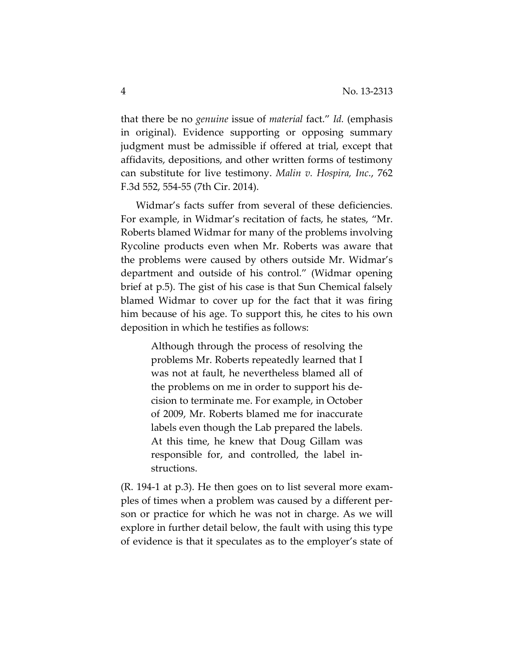that there be no *genuine* issue of *material* fact." *Id.* (emphasis in original). Evidence supporting or opposing summary judgment must be admissible if offered at trial, except that affidavits, depositions, and other written forms of testimony can substitute for live testimony. *Malin v. Hospira, Inc.*, 762 F.3d 552, 554-55 (7th Cir. 2014).

Widmar's facts suffer from several of these deficiencies. For example, in Widmar's recitation of facts, he states, "Mr. Roberts blamed Widmar for many of the problems involving Rycoline products even when Mr. Roberts was aware that the problems were caused by others outside Mr. Widmar's department and outside of his control." (Widmar opening brief at p.5). The gist of his case is that Sun Chemical falsely blamed Widmar to cover up for the fact that it was firing him because of his age. To support this, he cites to his own deposition in which he testifies as follows:

> Although through the process of resolving the problems Mr. Roberts repeatedly learned that I was not at fault, he nevertheless blamed all of the problems on me in order to support his decision to terminate me. For example, in October of 2009, Mr. Roberts blamed me for inaccurate labels even though the Lab prepared the labels. At this time, he knew that Doug Gillam was responsible for, and controlled, the label instructions.

(R. 194-1 at p.3). He then goes on to list several more examples of times when a problem was caused by a different person or practice for which he was not in charge. As we will explore in further detail below, the fault with using this type of evidence is that it speculates as to the employer's state of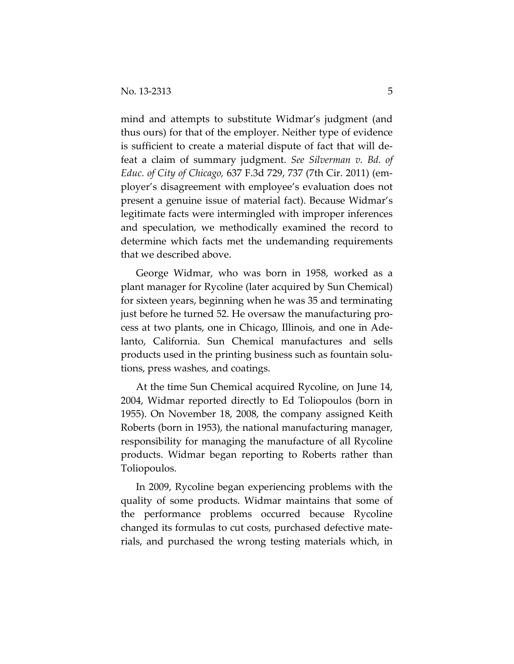mind and attempts to substitute Widmar's judgment (and thus ours) for that of the employer. Neither type of evidence is sufficient to create a material dispute of fact that will defeat a claim of summary judgment. *See Silverman v. Bd. of Educ. of City of Chicago,* 637 F.3d 729, 737 (7th Cir. 2011) (employer's disagreement with employee's evaluation does not present a genuine issue of material fact). Because Widmar's legitimate facts were intermingled with improper inferences and speculation, we methodically examined the record to determine which facts met the undemanding requirements that we described above.

George Widmar, who was born in 1958, worked as a plant manager for Rycoline (later acquired by Sun Chemical) for sixteen years, beginning when he was 35 and terminating just before he turned 52. He oversaw the manufacturing process at two plants, one in Chicago, Illinois, and one in Adelanto, California. Sun Chemical manufactures and sells products used in the printing business such as fountain solutions, press washes, and coatings.

At the time Sun Chemical acquired Rycoline, on June 14, 2004, Widmar reported directly to Ed Toliopoulos (born in 1955). On November 18, 2008, the company assigned Keith Roberts (born in 1953), the national manufacturing manager, responsibility for managing the manufacture of all Rycoline products. Widmar began reporting to Roberts rather than Toliopoulos.

In 2009, Rycoline began experiencing problems with the quality of some products. Widmar maintains that some of the performance problems occurred because Rycoline changed its formulas to cut costs, purchased defective materials, and purchased the wrong testing materials which, in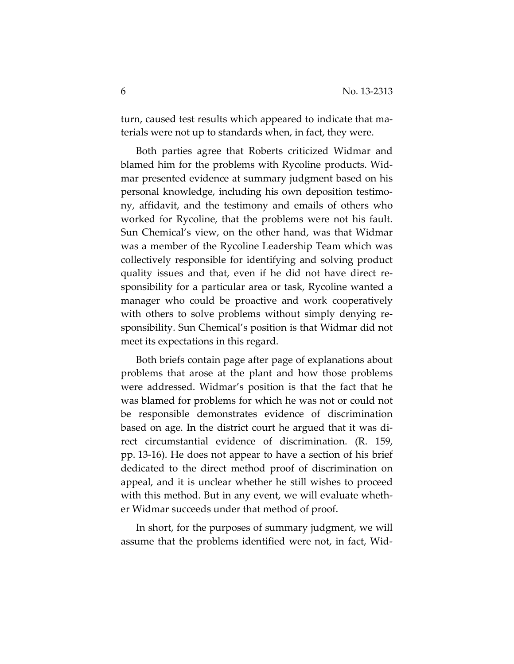turn, caused test results which appeared to indicate that materials were not up to standards when, in fact, they were.

Both parties agree that Roberts criticized Widmar and blamed him for the problems with Rycoline products. Widmar presented evidence at summary judgment based on his personal knowledge, including his own deposition testimony, affidavit, and the testimony and emails of others who worked for Rycoline, that the problems were not his fault. Sun Chemical's view, on the other hand, was that Widmar was a member of the Rycoline Leadership Team which was collectively responsible for identifying and solving product quality issues and that, even if he did not have direct responsibility for a particular area or task, Rycoline wanted a manager who could be proactive and work cooperatively with others to solve problems without simply denying responsibility. Sun Chemical's position is that Widmar did not meet its expectations in this regard.

Both briefs contain page after page of explanations about problems that arose at the plant and how those problems were addressed. Widmar's position is that the fact that he was blamed for problems for which he was not or could not be responsible demonstrates evidence of discrimination based on age. In the district court he argued that it was direct circumstantial evidence of discrimination. (R. 159, pp. 13-16). He does not appear to have a section of his brief dedicated to the direct method proof of discrimination on appeal, and it is unclear whether he still wishes to proceed with this method. But in any event, we will evaluate whether Widmar succeeds under that method of proof.

In short, for the purposes of summary judgment, we will assume that the problems identified were not, in fact, Wid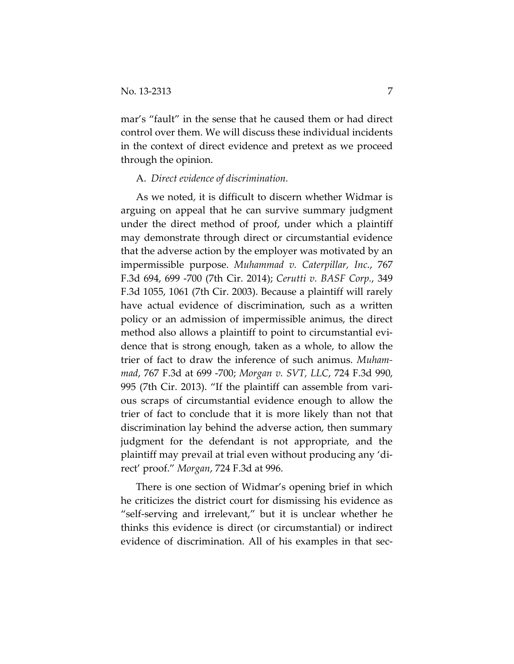mar's "fault" in the sense that he caused them or had direct control over them. We will discuss these individual incidents in the context of direct evidence and pretext as we proceed through the opinion.

### A. *Direct evidence of discrimination.*

As we noted, it is difficult to discern whether Widmar is arguing on appeal that he can survive summary judgment under the direct method of proof, under which a plaintiff may demonstrate through direct or circumstantial evidence that the adverse action by the employer was motivated by an impermissible purpose. *Muhammad v. Caterpillar, Inc.*, 767 F.3d 694, 699 -700 (7th Cir. 2014); *Cerutti v. BASF Corp.*, 349 F.3d 1055, 1061 (7th Cir. 2003). Because a plaintiff will rarely have actual evidence of discrimination, such as a written policy or an admission of impermissible animus, the direct method also allows a plaintiff to point to circumstantial evidence that is strong enough, taken as a whole, to allow the trier of fact to draw the inference of such animus. *Muhammad*, 767 F.3d at 699 -700; *Morgan v. SVT, LLC*, 724 F.3d 990, 995 (7th Cir. 2013). "If the plaintiff can assemble from various scraps of circumstantial evidence enough to allow the trier of fact to conclude that it is more likely than not that discrimination lay behind the adverse action, then summary judgment for the defendant is not appropriate, and the plaintiff may prevail at trial even without producing any 'direct' proof." *Morgan*, 724 F.3d at 996.

There is one section of Widmar's opening brief in which he criticizes the district court for dismissing his evidence as "self-serving and irrelevant," but it is unclear whether he thinks this evidence is direct (or circumstantial) or indirect evidence of discrimination. All of his examples in that sec-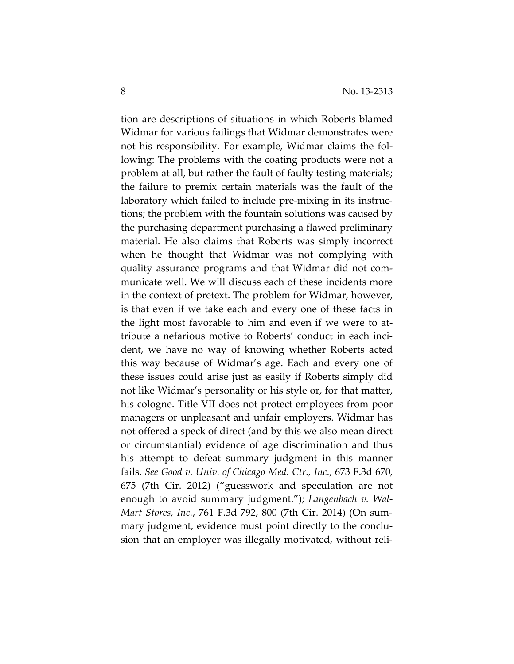tion are descriptions of situations in which Roberts blamed Widmar for various failings that Widmar demonstrates were not his responsibility. For example, Widmar claims the following: The problems with the coating products were not a problem at all, but rather the fault of faulty testing materials; the failure to premix certain materials was the fault of the laboratory which failed to include pre-mixing in its instructions; the problem with the fountain solutions was caused by the purchasing department purchasing a flawed preliminary material. He also claims that Roberts was simply incorrect when he thought that Widmar was not complying with quality assurance programs and that Widmar did not communicate well. We will discuss each of these incidents more in the context of pretext. The problem for Widmar, however, is that even if we take each and every one of these facts in the light most favorable to him and even if we were to attribute a nefarious motive to Roberts' conduct in each incident, we have no way of knowing whether Roberts acted this way because of Widmar's age. Each and every one of these issues could arise just as easily if Roberts simply did not like Widmar's personality or his style or, for that matter, his cologne. Title VII does not protect employees from poor managers or unpleasant and unfair employers. Widmar has not offered a speck of direct (and by this we also mean direct or circumstantial) evidence of age discrimination and thus his attempt to defeat summary judgment in this manner fails. *See Good v. Univ. of Chicago Med. Ctr., Inc.*, 673 F.3d 670, 675 (7th Cir. 2012) ("guesswork and speculation are not enough to avoid summary judgment."); *Langenbach v. Wal-Mart Stores, Inc.*, 761 F.3d 792, 800 (7th Cir. 2014) (On summary judgment, evidence must point directly to the conclusion that an employer was illegally motivated, without reli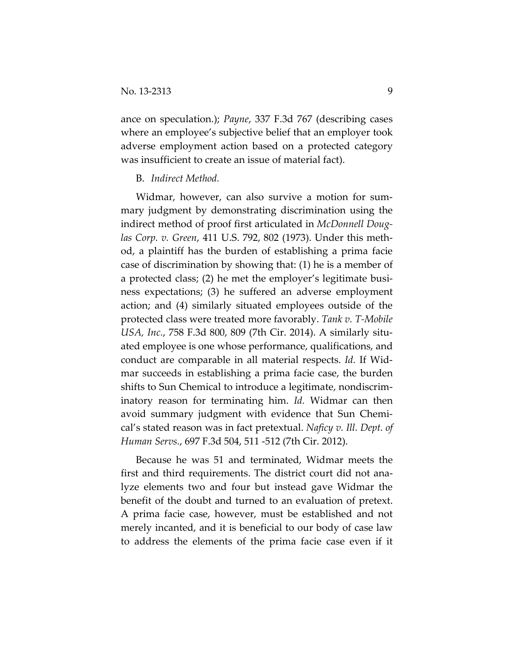ance on speculation.); *Payne*, 337 F.3d 767 (describing cases where an employee's subjective belief that an employer took adverse employment action based on a protected category was insufficient to create an issue of material fact).

#### B. *Indirect Method.*

Widmar, however, can also survive a motion for summary judgment by demonstrating discrimination using the indirect method of proof first articulated in *McDonnell Douglas Corp. v. Green*, 411 U.S. 792, 802 (1973). Under this method, a plaintiff has the burden of establishing a prima facie case of discrimination by showing that: (1) he is a member of a protected class; (2) he met the employer's legitimate business expectations; (3) he suffered an adverse employment action; and (4) similarly situated employees outside of the protected class were treated more favorably. *Tank v. T-Mobile USA, Inc.*, 758 F.3d 800, 809 (7th Cir. 2014). A similarly situated employee is one whose performance, qualifications, and conduct are comparable in all material respects. *Id.* If Widmar succeeds in establishing a prima facie case, the burden shifts to Sun Chemical to introduce a legitimate, nondiscriminatory reason for terminating him. *Id.* Widmar can then avoid summary judgment with evidence that Sun Chemical's stated reason was in fact pretextual. *Naficy v. Ill. Dept. of Human Servs.*, 697 F.3d 504, 511 -512 (7th Cir. 2012).

Because he was 51 and terminated, Widmar meets the first and third requirements. The district court did not analyze elements two and four but instead gave Widmar the benefit of the doubt and turned to an evaluation of pretext. A prima facie case, however, must be established and not merely incanted, and it is beneficial to our body of case law to address the elements of the prima facie case even if it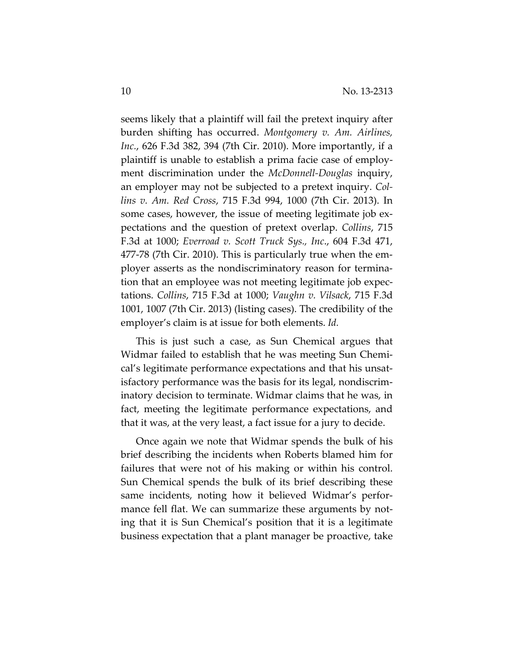seems likely that a plaintiff will fail the pretext inquiry after burden shifting has occurred. *Montgomery v. Am. Airlines, Inc.*, 626 F.3d 382, 394 (7th Cir. 2010). More importantly, if a plaintiff is unable to establish a prima facie case of employment discrimination under the *McDonnell-Douglas* inquiry, an employer may not be subjected to a pretext inquiry. *Collins v. Am. Red Cross*, 715 F.3d 994, 1000 (7th Cir. 2013). In some cases, however, the issue of meeting legitimate job expectations and the question of pretext overlap. *Collins*, 715 F.3d at 1000; *Everroad v. Scott Truck Sys., Inc*., 604 F.3d 471, 477-78 (7th Cir. 2010). This is particularly true when the employer asserts as the nondiscriminatory reason for termination that an employee was not meeting legitimate job expectations. *Collins*, 715 F.3d at 1000; *Vaughn v. Vilsack*, 715 F.3d 1001, 1007 (7th Cir. 2013) (listing cases). The credibility of the employer's claim is at issue for both elements. *Id.*

This is just such a case, as Sun Chemical argues that Widmar failed to establish that he was meeting Sun Chemical's legitimate performance expectations and that his unsatisfactory performance was the basis for its legal, nondiscriminatory decision to terminate. Widmar claims that he was, in fact, meeting the legitimate performance expectations, and that it was, at the very least, a fact issue for a jury to decide.

Once again we note that Widmar spends the bulk of his brief describing the incidents when Roberts blamed him for failures that were not of his making or within his control. Sun Chemical spends the bulk of its brief describing these same incidents, noting how it believed Widmar's performance fell flat. We can summarize these arguments by noting that it is Sun Chemical's position that it is a legitimate business expectation that a plant manager be proactive, take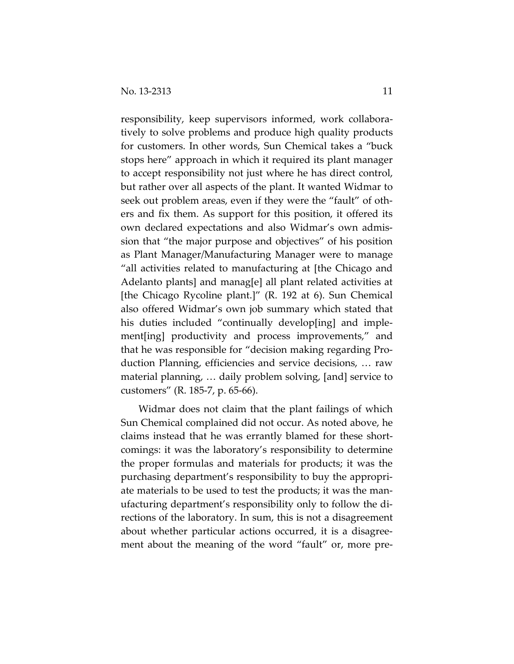responsibility, keep supervisors informed, work collaboratively to solve problems and produce high quality products for customers. In other words, Sun Chemical takes a "buck stops here" approach in which it required its plant manager to accept responsibility not just where he has direct control, but rather over all aspects of the plant. It wanted Widmar to seek out problem areas, even if they were the "fault" of others and fix them. As support for this position, it offered its own declared expectations and also Widmar's own admission that "the major purpose and objectives" of his position as Plant Manager/Manufacturing Manager were to manage "all activities related to manufacturing at [the Chicago and Adelanto plants] and manag[e] all plant related activities at [the Chicago Rycoline plant.]" (R. 192 at 6). Sun Chemical also offered Widmar's own job summary which stated that his duties included "continually develop[ing] and implement[ing] productivity and process improvements," and that he was responsible for "decision making regarding Production Planning, efficiencies and service decisions, … raw material planning, … daily problem solving, [and] service to customers" (R. 185-7, p. 65-66).

Widmar does not claim that the plant failings of which Sun Chemical complained did not occur. As noted above, he claims instead that he was errantly blamed for these shortcomings: it was the laboratory's responsibility to determine the proper formulas and materials for products; it was the purchasing department's responsibility to buy the appropriate materials to be used to test the products; it was the manufacturing department's responsibility only to follow the directions of the laboratory. In sum, this is not a disagreement about whether particular actions occurred, it is a disagreement about the meaning of the word "fault" or, more pre-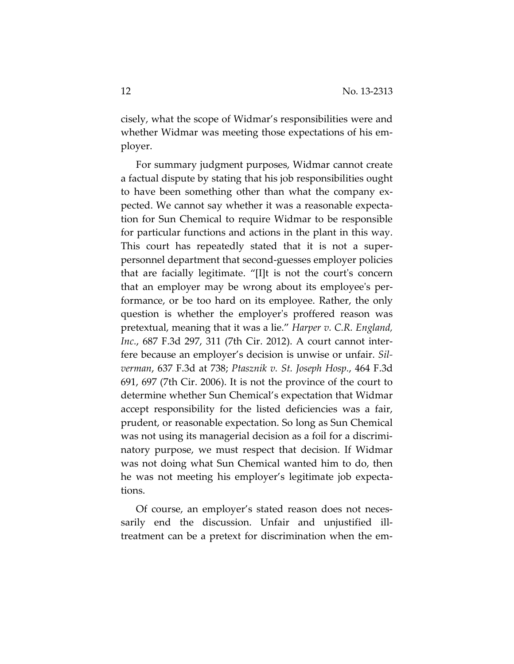cisely, what the scope of Widmar's responsibilities were and whether Widmar was meeting those expectations of his employer.

For summary judgment purposes, Widmar cannot create a factual dispute by stating that his job responsibilities ought to have been something other than what the company expected. We cannot say whether it was a reasonable expectation for Sun Chemical to require Widmar to be responsible for particular functions and actions in the plant in this way. This court has repeatedly stated that it is not a superpersonnel department that second-guesses employer policies that are facially legitimate. "[I]t is not the court's concern that an employer may be wrong about its employee's performance, or be too hard on its employee. Rather, the only question is whether the employer's proffered reason was pretextual, meaning that it was a lie." *Harper v. C.R. England, Inc.*, 687 F.3d 297, 311 (7th Cir. 2012). A court cannot interfere because an employer's decision is unwise or unfair. *Silverman*, 637 F.3d at 738; *Ptasznik v. St. Joseph Hosp.*, 464 F.3d 691, 697 (7th Cir. 2006). It is not the province of the court to determine whether Sun Chemical's expectation that Widmar accept responsibility for the listed deficiencies was a fair, prudent, or reasonable expectation. So long as Sun Chemical was not using its managerial decision as a foil for a discriminatory purpose, we must respect that decision. If Widmar was not doing what Sun Chemical wanted him to do, then he was not meeting his employer's legitimate job expectations.

Of course, an employer's stated reason does not necessarily end the discussion. Unfair and unjustified illtreatment can be a pretext for discrimination when the em-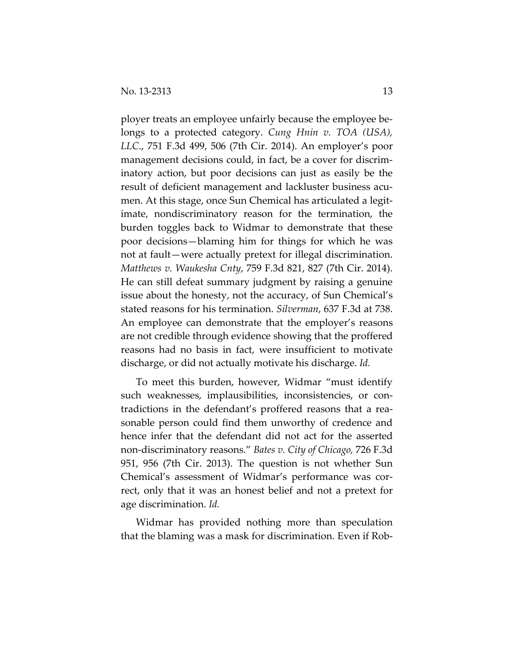ployer treats an employee unfairly because the employee belongs to a protected category. *Cung Hnin v. TOA (USA), LLC*., 751 F.3d 499, 506 (7th Cir. 2014). An employer's poor management decisions could, in fact, be a cover for discriminatory action, but poor decisions can just as easily be the result of deficient management and lackluster business acumen. At this stage, once Sun Chemical has articulated a legitimate, nondiscriminatory reason for the termination, the burden toggles back to Widmar to demonstrate that these poor decisions—blaming him for things for which he was not at fault—were actually pretext for illegal discrimination. *Matthews v. Waukesha Cnty*, 759 F.3d 821, 827 (7th Cir. 2014). He can still defeat summary judgment by raising a genuine issue about the honesty, not the accuracy, of Sun Chemical's stated reasons for his termination. *Silverman*, 637 F.3d at 738. An employee can demonstrate that the employer's reasons are not credible through evidence showing that the proffered reasons had no basis in fact, were insufficient to motivate discharge, or did not actually motivate his discharge. *Id.*

To meet this burden, however, Widmar "must identify such weaknesses, implausibilities, inconsistencies, or contradictions in the defendant's proffered reasons that a reasonable person could find them unworthy of credence and hence infer that the defendant did not act for the asserted non-discriminatory reasons." *Bates v. City of Chicago,* 726 F.3d 951, 956 (7th Cir. 2013). The question is not whether Sun Chemical's assessment of Widmar's performance was correct, only that it was an honest belief and not a pretext for age discrimination. *Id.*

Widmar has provided nothing more than speculation that the blaming was a mask for discrimination. Even if Rob-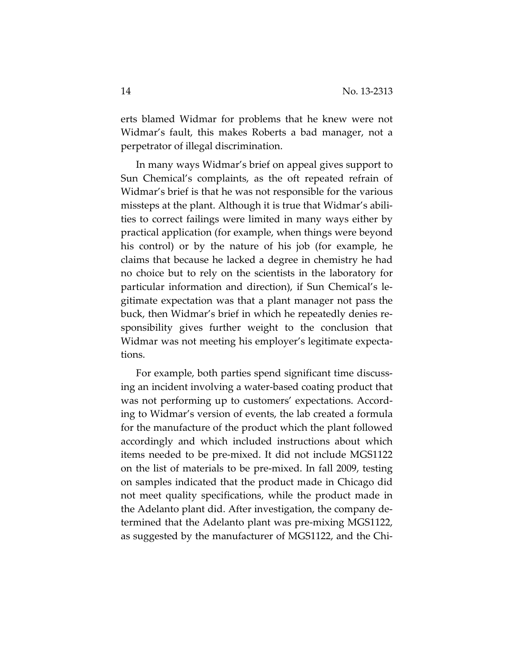erts blamed Widmar for problems that he knew were not Widmar's fault, this makes Roberts a bad manager, not a perpetrator of illegal discrimination.

In many ways Widmar's brief on appeal gives support to Sun Chemical's complaints, as the oft repeated refrain of Widmar's brief is that he was not responsible for the various missteps at the plant. Although it is true that Widmar's abilities to correct failings were limited in many ways either by practical application (for example, when things were beyond his control) or by the nature of his job (for example, he claims that because he lacked a degree in chemistry he had no choice but to rely on the scientists in the laboratory for particular information and direction), if Sun Chemical's legitimate expectation was that a plant manager not pass the buck, then Widmar's brief in which he repeatedly denies responsibility gives further weight to the conclusion that Widmar was not meeting his employer's legitimate expectations.

For example, both parties spend significant time discussing an incident involving a water-based coating product that was not performing up to customers' expectations. According to Widmar's version of events, the lab created a formula for the manufacture of the product which the plant followed accordingly and which included instructions about which items needed to be pre-mixed. It did not include MGS1122 on the list of materials to be pre-mixed. In fall 2009, testing on samples indicated that the product made in Chicago did not meet quality specifications, while the product made in the Adelanto plant did. After investigation, the company determined that the Adelanto plant was pre-mixing MGS1122, as suggested by the manufacturer of MGS1122, and the Chi-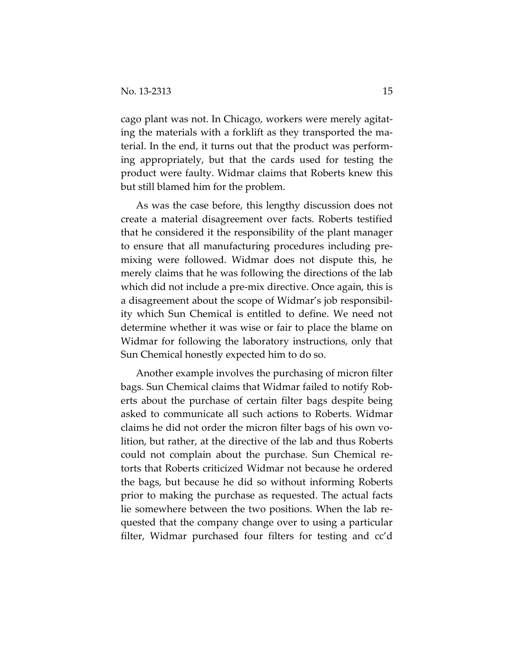cago plant was not. In Chicago, workers were merely agitating the materials with a forklift as they transported the material. In the end, it turns out that the product was performing appropriately, but that the cards used for testing the product were faulty. Widmar claims that Roberts knew this but still blamed him for the problem.

As was the case before, this lengthy discussion does not create a material disagreement over facts. Roberts testified that he considered it the responsibility of the plant manager to ensure that all manufacturing procedures including premixing were followed. Widmar does not dispute this, he merely claims that he was following the directions of the lab which did not include a pre-mix directive. Once again, this is a disagreement about the scope of Widmar's job responsibility which Sun Chemical is entitled to define. We need not determine whether it was wise or fair to place the blame on Widmar for following the laboratory instructions, only that Sun Chemical honestly expected him to do so.

Another example involves the purchasing of micron filter bags. Sun Chemical claims that Widmar failed to notify Roberts about the purchase of certain filter bags despite being asked to communicate all such actions to Roberts. Widmar claims he did not order the micron filter bags of his own volition, but rather, at the directive of the lab and thus Roberts could not complain about the purchase. Sun Chemical retorts that Roberts criticized Widmar not because he ordered the bags, but because he did so without informing Roberts prior to making the purchase as requested. The actual facts lie somewhere between the two positions. When the lab requested that the company change over to using a particular filter, Widmar purchased four filters for testing and cc'd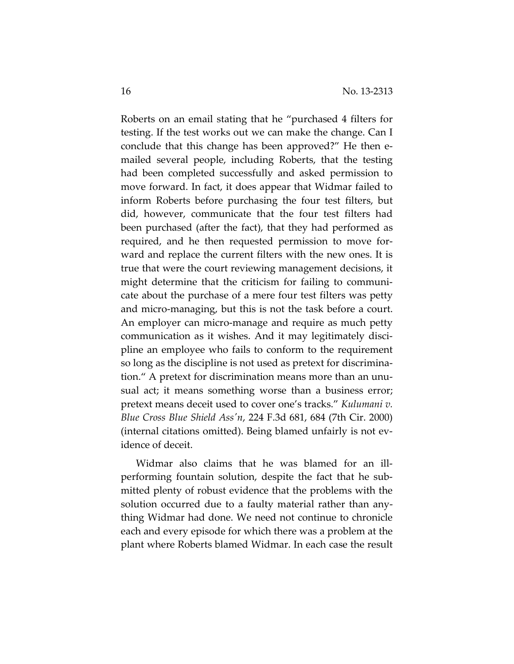Roberts on an email stating that he "purchased 4 filters for testing. If the test works out we can make the change. Can I conclude that this change has been approved?" He then emailed several people, including Roberts, that the testing had been completed successfully and asked permission to move forward. In fact, it does appear that Widmar failed to inform Roberts before purchasing the four test filters, but did, however, communicate that the four test filters had been purchased (after the fact), that they had performed as required, and he then requested permission to move forward and replace the current filters with the new ones. It is true that were the court reviewing management decisions, it might determine that the criticism for failing to communicate about the purchase of a mere four test filters was petty and micro-managing, but this is not the task before a court. An employer can micro-manage and require as much petty communication as it wishes. And it may legitimately discipline an employee who fails to conform to the requirement so long as the discipline is not used as pretext for discrimination." A pretext for discrimination means more than an unusual act; it means something worse than a business error; pretext means deceit used to cover one's tracks." *Kulumani v. Blue Cross Blue Shield Ass'n*, 224 F.3d 681, 684 (7th Cir. 2000) (internal citations omitted). Being blamed unfairly is not evidence of deceit.

Widmar also claims that he was blamed for an illperforming fountain solution, despite the fact that he submitted plenty of robust evidence that the problems with the solution occurred due to a faulty material rather than anything Widmar had done. We need not continue to chronicle each and every episode for which there was a problem at the plant where Roberts blamed Widmar. In each case the result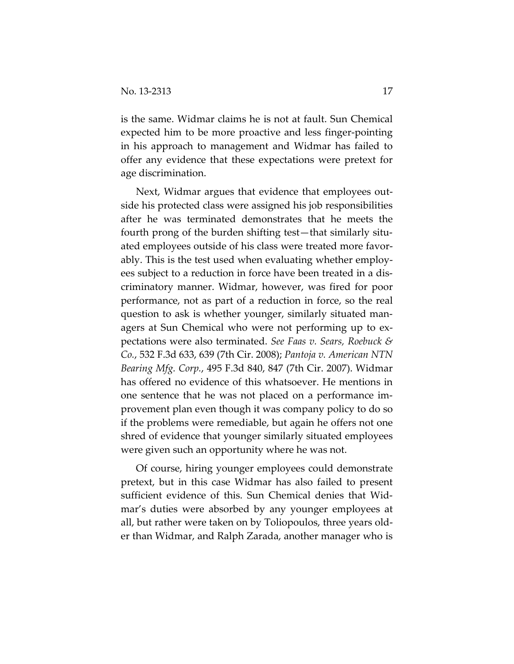is the same. Widmar claims he is not at fault. Sun Chemical expected him to be more proactive and less finger-pointing in his approach to management and Widmar has failed to offer any evidence that these expectations were pretext for age discrimination.

Next, Widmar argues that evidence that employees outside his protected class were assigned his job responsibilities after he was terminated demonstrates that he meets the fourth prong of the burden shifting test—that similarly situated employees outside of his class were treated more favorably. This is the test used when evaluating whether employees subject to a reduction in force have been treated in a discriminatory manner. Widmar, however, was fired for poor performance, not as part of a reduction in force, so the real question to ask is whether younger, similarly situated managers at Sun Chemical who were not performing up to expectations were also terminated. *See Faas v. Sears, Roebuck & Co.*, 532 F.3d 633, 639 (7th Cir. 2008); *Pantoja v. American NTN Bearing Mfg. Corp.*, 495 F.3d 840, 847 (7th Cir. 2007). Widmar has offered no evidence of this whatsoever. He mentions in one sentence that he was not placed on a performance improvement plan even though it was company policy to do so if the problems were remediable, but again he offers not one shred of evidence that younger similarly situated employees were given such an opportunity where he was not.

Of course, hiring younger employees could demonstrate pretext, but in this case Widmar has also failed to present sufficient evidence of this. Sun Chemical denies that Widmar's duties were absorbed by any younger employees at all, but rather were taken on by Toliopoulos, three years older than Widmar, and Ralph Zarada, another manager who is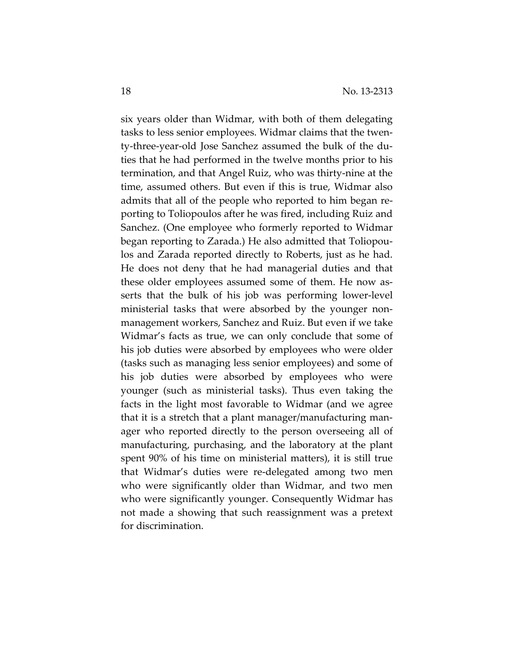six years older than Widmar, with both of them delegating tasks to less senior employees. Widmar claims that the twenty-three-year-old Jose Sanchez assumed the bulk of the duties that he had performed in the twelve months prior to his termination, and that Angel Ruiz, who was thirty-nine at the time, assumed others. But even if this is true, Widmar also admits that all of the people who reported to him began reporting to Toliopoulos after he was fired, including Ruiz and Sanchez. (One employee who formerly reported to Widmar began reporting to Zarada.) He also admitted that Toliopoulos and Zarada reported directly to Roberts, just as he had. He does not deny that he had managerial duties and that these older employees assumed some of them. He now asserts that the bulk of his job was performing lower-level ministerial tasks that were absorbed by the younger nonmanagement workers, Sanchez and Ruiz. But even if we take Widmar's facts as true, we can only conclude that some of his job duties were absorbed by employees who were older (tasks such as managing less senior employees) and some of his job duties were absorbed by employees who were younger (such as ministerial tasks). Thus even taking the facts in the light most favorable to Widmar (and we agree that it is a stretch that a plant manager/manufacturing manager who reported directly to the person overseeing all of manufacturing, purchasing, and the laboratory at the plant spent 90% of his time on ministerial matters), it is still true that Widmar's duties were re-delegated among two men who were significantly older than Widmar, and two men who were significantly younger. Consequently Widmar has not made a showing that such reassignment was a pretext for discrimination.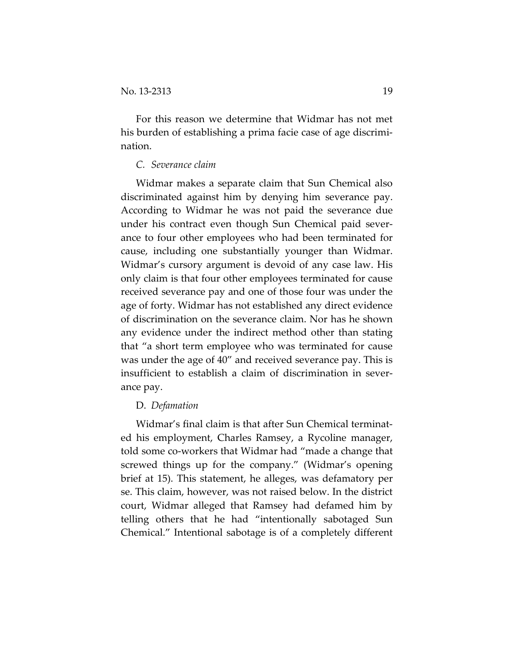For this reason we determine that Widmar has not met his burden of establishing a prima facie case of age discrimination.

## *C. Severance claim*

Widmar makes a separate claim that Sun Chemical also discriminated against him by denying him severance pay. According to Widmar he was not paid the severance due under his contract even though Sun Chemical paid severance to four other employees who had been terminated for cause, including one substantially younger than Widmar. Widmar's cursory argument is devoid of any case law. His only claim is that four other employees terminated for cause received severance pay and one of those four was under the age of forty. Widmar has not established any direct evidence of discrimination on the severance claim. Nor has he shown any evidence under the indirect method other than stating that "a short term employee who was terminated for cause was under the age of 40" and received severance pay. This is insufficient to establish a claim of discrimination in severance pay.

#### D. *Defamation*

Widmar's final claim is that after Sun Chemical terminated his employment, Charles Ramsey, a Rycoline manager, told some co-workers that Widmar had "made a change that screwed things up for the company." (Widmar's opening brief at 15). This statement, he alleges, was defamatory per se. This claim, however, was not raised below. In the district court, Widmar alleged that Ramsey had defamed him by telling others that he had "intentionally sabotaged Sun Chemical." Intentional sabotage is of a completely different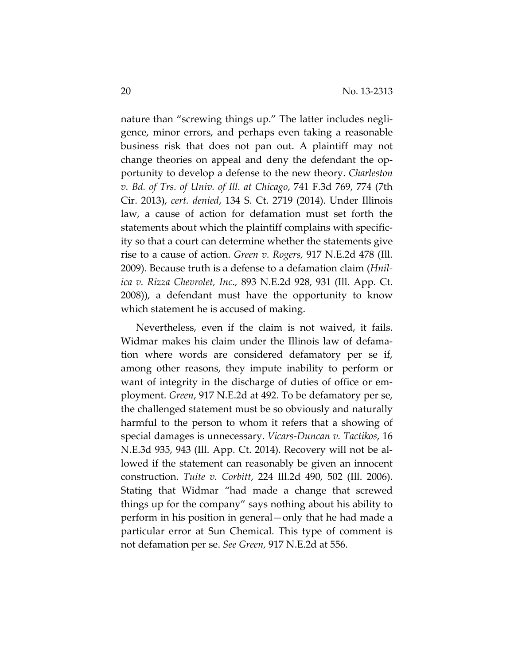nature than "screwing things up." The latter includes negligence, minor errors, and perhaps even taking a reasonable business risk that does not pan out. A plaintiff may not change theories on appeal and deny the defendant the opportunity to develop a defense to the new theory. *Charleston v. Bd. of Trs. of Univ. of Ill. at Chicago*, 741 F.3d 769, 774 (7th Cir. 2013), *cert. denied*, 134 S. Ct. 2719 (2014). Under Illinois law, a cause of action for defamation must set forth the statements about which the plaintiff complains with specificity so that a court can determine whether the statements give rise to a cause of action. *Green v. Rogers,* 917 N.E.2d 478 (Ill. 2009). Because truth is a defense to a defamation claim (*Hnilica v. Rizza Chevrolet, Inc.,* 893 N.E.2d 928, 931 (Ill. App. Ct. 2008)), a defendant must have the opportunity to know which statement he is accused of making.

Nevertheless, even if the claim is not waived, it fails. Widmar makes his claim under the Illinois law of defamation where words are considered defamatory per se if, among other reasons, they impute inability to perform or want of integrity in the discharge of duties of office or employment. *Green*, 917 N.E.2d at 492. To be defamatory per se, the challenged statement must be so obviously and naturally harmful to the person to whom it refers that a showing of special damages is unnecessary. *Vicars-Duncan v. Tactikos*, 16 N.E.3d 935, 943 (Ill. App. Ct. 2014). Recovery will not be allowed if the statement can reasonably be given an innocent construction. *Tuite v. Corbitt*, 224 Ill.2d 490, 502 (Ill. 2006). Stating that Widmar "had made a change that screwed things up for the company" says nothing about his ability to perform in his position in general—only that he had made a particular error at Sun Chemical. This type of comment is not defamation per se. *See Green,* 917 N.E.2d at 556.